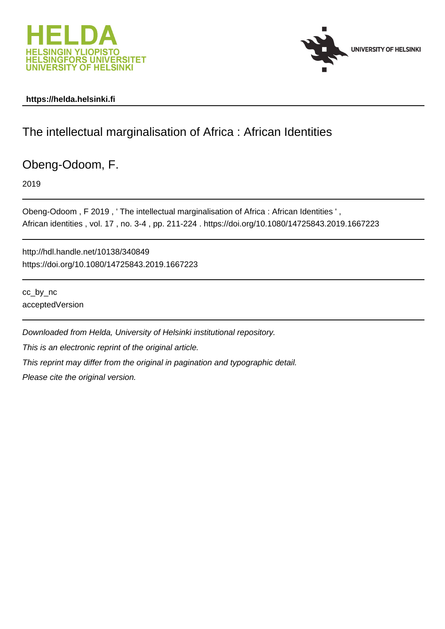



# **https://helda.helsinki.fi**

# The intellectual marginalisation of Africa : African Identities

Obeng-Odoom, F.

2019

Obeng-Odoom , F 2019 , ' The intellectual marginalisation of Africa : African Identities ' , African identities , vol. 17 , no. 3-4 , pp. 211-224 . https://doi.org/10.1080/14725843.2019.1667223

http://hdl.handle.net/10138/340849 https://doi.org/10.1080/14725843.2019.1667223

cc\_by\_nc acceptedVersion

Downloaded from Helda, University of Helsinki institutional repository. This is an electronic reprint of the original article. This reprint may differ from the original in pagination and typographic detail. Please cite the original version.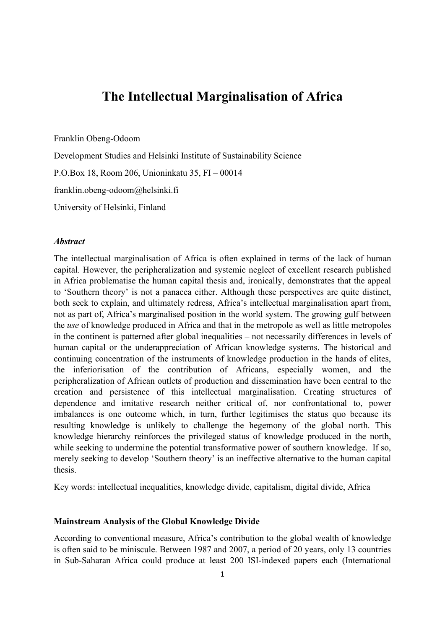# **The Intellectual Marginalisation of Africa**

Franklin Obeng-Odoom

Development Studies and Helsinki Institute of Sustainability Science

P.O.Box 18, Room 206, Unioninkatu 35, FI – 00014

[franklin.obeng-odoom@helsinki.fi](mailto:franklin.obeng-odoom@helsinki.fi)

University of Helsinki, Finland

### *Abstract*

The intellectual marginalisation of Africa is often explained in terms of the lack of human capital. However, the peripheralization and systemic neglect of excellent research published in Africa problematise the human capital thesis and, ironically, demonstrates that the appeal to 'Southern theory' is not a panacea either. Although these perspectives are quite distinct, both seek to explain, and ultimately redress, Africa's intellectual marginalisation apart from, not as part of, Africa's marginalised position in the world system. The growing gulf between the *use* of knowledge produced in Africa and that in the metropole as well as little metropoles in the continent is patterned after global inequalities – not necessarily differences in levels of human capital or the underappreciation of African knowledge systems. The historical and continuing concentration of the instruments of knowledge production in the hands of elites, the inferiorisation of the contribution of Africans, especially women, and the peripheralization of African outlets of production and dissemination have been central to the creation and persistence of this intellectual marginalisation. Creating structures of dependence and imitative research neither critical of, nor confrontational to, power imbalances is one outcome which, in turn, further legitimises the status quo because its resulting knowledge is unlikely to challenge the hegemony of the global north. This knowledge hierarchy reinforces the privileged status of knowledge produced in the north, while seeking to undermine the potential transformative power of southern knowledge. If so, merely seeking to develop 'Southern theory' is an ineffective alternative to the human capital thesis.

Key words: intellectual inequalities, knowledge divide, capitalism, digital divide, Africa

#### **Mainstream Analysis of the Global Knowledge Divide**

According to conventional measure, Africa's contribution to the global wealth of knowledge is often said to be miniscule. Between 1987 and 2007, a period of 20 years, only 13 countries in Sub-Saharan Africa could produce at least 200 ISI-indexed papers each (International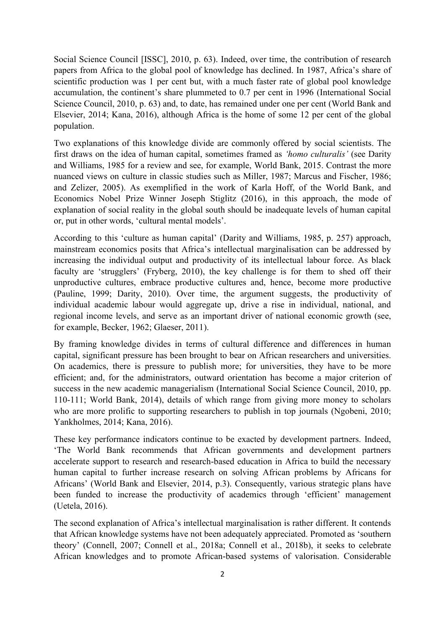Social Science Council [ISSC], 2010, p. 63). Indeed, over time, the contribution of research papers from Africa to the global pool of knowledge has declined. In 1987, Africa's share of scientific production was 1 per cent but, with a much faster rate of global pool knowledge accumulation, the continent's share plummeted to 0.7 per cent in 1996 (International Social Science Council, 2010, p. 63) and, to date, has remained under one per cent (World Bank and Elsevier, 2014; Kana, 2016), although Africa is the home of some 12 per cent of the global population.

Two explanations of this knowledge divide are commonly offered by social scientists. The first draws on the idea of human capital, sometimes framed as *'homo culturalis'* (see Darity and Williams, 1985 for a review and see, for example, World Bank, 2015. Contrast the more nuanced views on culture in classic studies such as Miller, 1987; Marcus and Fischer, 1986; and Zelizer, 2005). As exemplified in the work of Karla Hoff, of the World Bank, and Economics Nobel Prize Winner Joseph Stiglitz (2016), in this approach, the mode of explanation of social reality in the global south should be inadequate levels of human capital or, put in other words, 'cultural mental models'.

According to this 'culture as human capital' (Darity and Williams, 1985, p. 257) approach, mainstream economics posits that Africa's intellectual marginalisation can be addressed by increasing the individual output and productivity of its intellectual labour force. As black faculty are 'strugglers' (Fryberg, 2010), the key challenge is for them to shed off their unproductive cultures, embrace productive cultures and, hence, become more productive (Pauline, 1999; Darity, 2010). Over time, the argument suggests, the productivity of individual academic labour would aggregate up, drive a rise in individual, national, and regional income levels, and serve as an important driver of national economic growth (see, for example, Becker, 1962; Glaeser, 2011).

By framing knowledge divides in terms of cultural difference and differences in human capital, significant pressure has been brought to bear on African researchers and universities. On academics, there is pressure to publish more; for universities, they have to be more efficient; and, for the administrators, outward orientation has become a major criterion of success in the new academic managerialism (International Social Science Council, 2010, pp. 110-111; World Bank, 2014), details of which range from giving more money to scholars who are more prolific to supporting researchers to publish in top journals (Ngobeni, 2010; Yankholmes, 2014; Kana, 2016).

These key performance indicators continue to be exacted by development partners. Indeed, 'The World Bank recommends that African governments and development partners accelerate support to research and research-based education in Africa to build the necessary human capital to further increase research on solving African problems by Africans for Africans' (World Bank and Elsevier, 2014, p.3). Consequently, various strategic plans have been funded to increase the productivity of academics through 'efficient' management (Uetela, 2016).

The second explanation of Africa's intellectual marginalisation is rather different. It contends that African knowledge systems have not been adequately appreciated. Promoted as 'southern theory' (Connell, 2007; Connell et al., 2018a; Connell et al., 2018b), it seeks to celebrate African knowledges and to promote African-based systems of valorisation. Considerable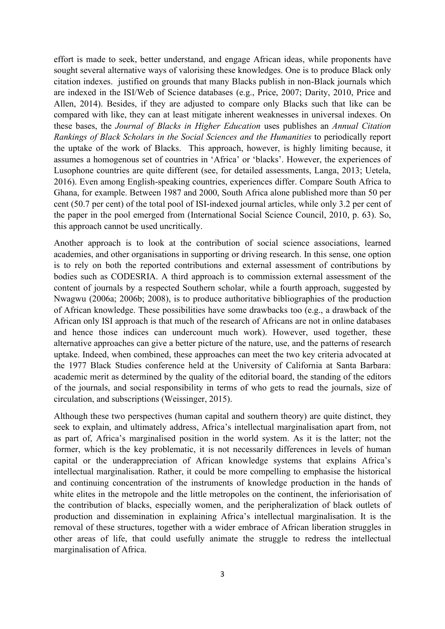effort is made to seek, better understand, and engage African ideas, while proponents have sought several alternative ways of valorising these knowledges. One is to produce Black only citation indexes. justified on grounds that many Blacks publish in non-Black journals which are indexed in the ISI/Web of Science databases (e.g., Price, 2007; Darity, 2010, Price and Allen, 2014). Besides, if they are adjusted to compare only Blacks such that like can be compared with like, they can at least mitigate inherent weaknesses in universal indexes. On these bases, the *Journal of Blacks in Higher Education* uses publishes an *Annual Citation Rankings of Black Scholars in the Social Sciences and the Humanities* to periodically report the uptake of the work of Blacks. This approach, however, is highly limiting because, it assumes a homogenous set of countries in 'Africa' or 'blacks'. However, the experiences of Lusophone countries are quite different (see, for detailed assessments, Langa, 2013; Uetela, 2016). Even among English-speaking countries, experiences differ. Compare South Africa to Ghana, for example. Between 1987 and 2000, South Africa alone published more than 50 per cent (50.7 per cent) of the total pool of ISI-indexed journal articles, while only 3.2 per cent of the paper in the pool emerged from (International Social Science Council, 2010, p. 63). So, this approach cannot be used uncritically.

Another approach is to look at the contribution of social science associations, learned academies, and other organisations in supporting or driving research. In this sense, one option is to rely on both the reported contributions and external assessment of contributions by bodies such as CODESRIA. A third approach is to commission external assessment of the content of journals by a respected Southern scholar, while a fourth approach, suggested by Nwagwu (2006a; 2006b; 2008), is to produce authoritative bibliographies of the production of African knowledge. These possibilities have some drawbacks too (e.g., a drawback of the African only ISI approach is that much of the research of Africans are not in online databases and hence those indices can undercount much work). However, used together, these alternative approaches can give a better picture of the nature, use, and the patterns of research uptake. Indeed, when combined, these approaches can meet the two key criteria advocated at the 1977 Black Studies conference held at the University of California at Santa Barbara: academic merit as determined by the quality of the editorial board, the standing of the editors of the journals, and social responsibility in terms of who gets to read the journals, size of circulation, and subscriptions (Weissinger, 2015).

Although these two perspectives (human capital and southern theory) are quite distinct, they seek to explain, and ultimately address, Africa's intellectual marginalisation apart from, not as part of, Africa's marginalised position in the world system. As it is the latter; not the former, which is the key problematic, it is not necessarily differences in levels of human capital or the underappreciation of African knowledge systems that explains Africa's intellectual marginalisation. Rather, it could be more compelling to emphasise the historical and continuing concentration of the instruments of knowledge production in the hands of white elites in the metropole and the little metropoles on the continent, the inferiorisation of the contribution of blacks, especially women, and the peripheralization of black outlets of production and dissemination in explaining Africa's intellectual marginalisation. It is the removal of these structures, together with a wider embrace of African liberation struggles in other areas of life, that could usefully animate the struggle to redress the intellectual marginalisation of Africa.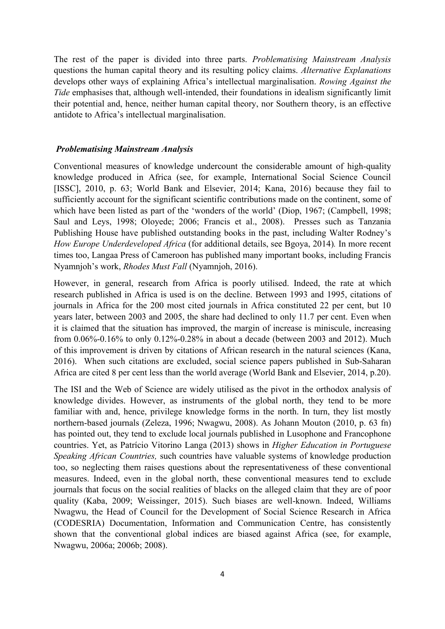The rest of the paper is divided into three parts. *Problematising Mainstream Analysis* questions the human capital theory and its resulting policy claims. *Alternative Explanations* develops other ways of explaining Africa's intellectual marginalisation. *Rowing Against the Tide* emphasises that, although well-intended, their foundations in idealism significantly limit their potential and, hence, neither human capital theory, nor Southern theory, is an effective antidote to Africa's intellectual marginalisation.

#### *Problematising Mainstream Analysis*

Conventional measures of knowledge undercount the considerable amount of high-quality knowledge produced in Africa (see, for example, International Social Science Council [ISSC], 2010, p. 63; World Bank and Elsevier, 2014; Kana, 2016) because they fail to sufficiently account for the significant scientific contributions made on the continent, some of which have been listed as part of the 'wonders of the world' (Diop, 1967; (Campbell, 1998; Saul and Leys, 1998; Oloyede; 2006; Francis et al., 2008). Presses such as Tanzania Publishing House have published outstanding books in the past, including Walter Rodney's *How Europe Underdeveloped Africa* (for additional details, see Bgoya, 2014)*.* In more recent times too, Langaa Press of Cameroon has published many important books, including Francis Nyamnjoh's work, *Rhodes Must Fall* (Nyamnjoh, 2016).

However, in general, research from Africa is poorly utilised. Indeed, the rate at which research published in Africa is used is on the decline. Between 1993 and 1995, citations of journals in Africa for the 200 most cited journals in Africa constituted 22 per cent, but 10 years later, between 2003 and 2005, the share had declined to only 11.7 per cent. Even when it is claimed that the situation has improved, the margin of increase is miniscule, increasing from 0.06%-0.16% to only 0.12%-0.28% in about a decade (between 2003 and 2012). Much of this improvement is driven by citations of African research in the natural sciences (Kana, 2016). When such citations are excluded, social science papers published in Sub-Saharan Africa are cited 8 per cent less than the world average (World Bank and Elsevier, 2014, p.20).

The ISI and the Web of Science are widely utilised as the pivot in the orthodox analysis of knowledge divides. However, as instruments of the global north, they tend to be more familiar with and, hence, privilege knowledge forms in the north. In turn, they list mostly northern-based journals (Zeleza, 1996; Nwagwu, 2008). As Johann Mouton (2010, p. 63 fn) has pointed out, they tend to exclude local journals published in Lusophone and Francophone countries. Yet, as Patrício Vitorino Langa (2013) shows in *Higher Education in Portuguese Speaking African Countries,* such countries have valuable systems of knowledge production too, so neglecting them raises questions about the representativeness of these conventional measures. Indeed, even in the global north, these conventional measures tend to exclude journals that focus on the social realities of blacks on the alleged claim that they are of poor quality (Kaba, 2009; Weissinger, 2015). Such biases are well-known. Indeed, Williams Nwagwu, the Head of Council for the Development of Social Science Research in Africa (CODESRIA) Documentation, Information and Communication Centre, has consistently shown that the conventional global indices are biased against Africa (see, for example, Nwagwu, 2006a; 2006b; 2008).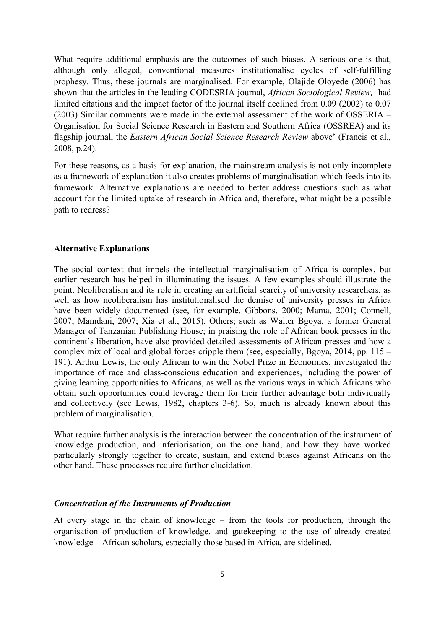What require additional emphasis are the outcomes of such biases. A serious one is that, although only alleged, conventional measures institutionalise cycles of self-fulfilling prophesy. Thus, these journals are marginalised. For example, Olajide Oloyede (2006) has shown that the articles in the leading CODESRIA journal, *African Sociological Review,* had limited citations and the impact factor of the journal itself declined from 0.09 (2002) to 0.07 (2003) Similar comments were made in the external assessment of the work of OSSERIA – Organisation for Social Science Research in Eastern and Southern Africa (OSSREA) and its flagship journal, the *Eastern African Social Science Research Review* above' (Francis et al., 2008, p.24).

For these reasons, as a basis for explanation, the mainstream analysis is not only incomplete as a framework of explanation it also creates problems of marginalisation which feeds into its framework. Alternative explanations are needed to better address questions such as what account for the limited uptake of research in Africa and, therefore, what might be a possible path to redress?

## **Alternative Explanations**

The social context that impels the intellectual marginalisation of Africa is complex, but earlier research has helped in illuminating the issues. A few examples should illustrate the point. Neoliberalism and its role in creating an artificial scarcity of university researchers, as well as how neoliberalism has institutionalised the demise of university presses in Africa have been widely documented (see, for example, Gibbons, 2000; Mama, 2001; Connell, 2007; Mamdani, 2007; Xia et al., 2015). Others; such as Walter Bgoya, a former General Manager of Tanzanian Publishing House; in praising the role of African book presses in the continent's liberation, have also provided detailed assessments of African presses and how a complex mix of local and global forces cripple them (see, especially, Bgoya, 2014, pp. 115 – 191). Arthur Lewis, the only African to win the Nobel Prize in Economics, investigated the importance of race and class-conscious education and experiences, including the power of giving learning opportunities to Africans, as well as the various ways in which Africans who obtain such opportunities could leverage them for their further advantage both individually and collectively (see Lewis, 1982, chapters 3-6). So, much is already known about this problem of marginalisation.

What require further analysis is the interaction between the concentration of the instrument of knowledge production, and inferiorisation, on the one hand, and how they have worked particularly strongly together to create, sustain, and extend biases against Africans on the other hand. These processes require further elucidation.

#### *Concentration of the Instruments of Production*

At every stage in the chain of knowledge – from the tools for production, through the organisation of production of knowledge, and gatekeeping to the use of already created knowledge – African scholars, especially those based in Africa, are sidelined.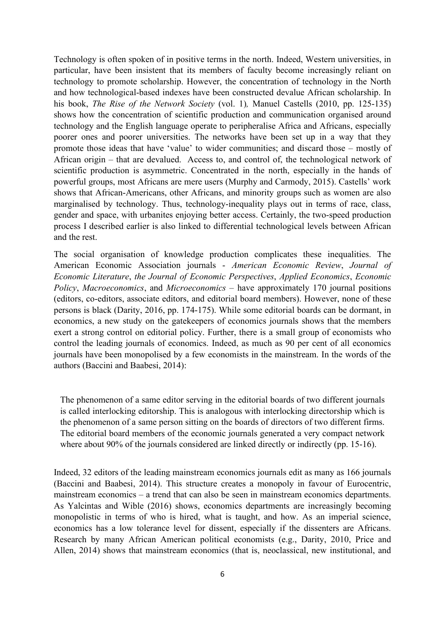Technology is often spoken of in positive terms in the north. Indeed, Western universities, in particular, have been insistent that its members of faculty become increasingly reliant on technology to promote scholarship. However, the concentration of technology in the North and how technological-based indexes have been constructed devalue African scholarship. In his book, *The Rise of the Network Society* (vol. 1)*,* Manuel Castells (2010, pp. 125-135) shows how the concentration of scientific production and communication organised around technology and the English language operate to peripheralise Africa and Africans, especially poorer ones and poorer universities. The networks have been set up in a way that they promote those ideas that have 'value' to wider communities; and discard those – mostly of African origin – that are devalued. Access to, and control of, the technological network of scientific production is asymmetric. Concentrated in the north, especially in the hands of powerful groups, most Africans are mere users (Murphy and Carmody, 2015). Castells' work shows that African-Americans, other Africans, and minority groups such as women are also marginalised by technology. Thus, technology-inequality plays out in terms of race, class, gender and space, with urbanites enjoying better access. Certainly, the two-speed production process I described earlier is also linked to differential technological levels between African and the rest.

The social organisation of knowledge production complicates these inequalities. The American Economic Association journals - *American Economic Review*, *Journal of Economic Literature*, *the Journal of Economic Perspectives*, *Applied Economics*, *Economic Policy*, *Macroeconomics*, and *Microeconomics –* have approximately 170 journal positions (editors, co-editors, associate editors, and editorial board members). However, none of these persons is black (Darity, 2016, pp. 174-175). While some editorial boards can be dormant, in economics, a new study on the gatekeepers of economics journals shows that the members exert a strong control on editorial policy. Further, there is a small group of economists who control the leading journals of economics. Indeed, as much as 90 per cent of all economics journals have been monopolised by a few economists in the mainstream. In the words of the authors (Baccini and Baabesi, 2014):

The phenomenon of a same editor serving in the editorial boards of two different journals is called interlocking editorship. This is analogous with interlocking directorship which is the phenomenon of a same person sitting on the boards of directors of two different firms. The editorial board members of the economic journals generated a very compact network where about 90% of the journals considered are linked directly or indirectly (pp. 15-16).

Indeed, 32 editors of the leading mainstream economics journals edit as many as 166 journals (Baccini and Baabesi, 2014). This structure creates a monopoly in favour of Eurocentric, mainstream economics – a trend that can also be seen in mainstream economics departments. As Yalcintas and Wible (2016) shows, economics departments are increasingly becoming monopolistic in terms of who is hired, what is taught, and how. As an imperial science, economics has a low tolerance level for dissent, especially if the dissenters are Africans. Research by many African American political economists (e.g., Darity, 2010, Price and Allen, 2014) shows that mainstream economics (that is, neoclassical, new institutional, and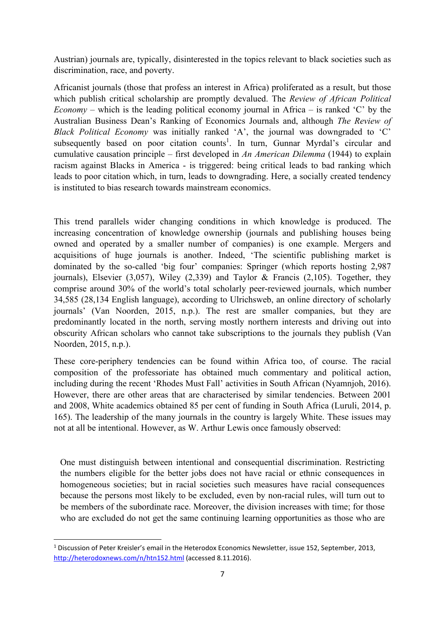Austrian) journals are, typically, disinterested in the topics relevant to black societies such as discrimination, race, and poverty.

Africanist journals (those that profess an interest in Africa) proliferated as a result, but those which publish critical scholarship are promptly devalued. The *Review of African Political Economy* – which is the leading political economy journal in Africa – is ranked  $\mathcal{C}$  by the Australian Business Dean's Ranking of Economics Journals and, although *The Review of Black Political Economy* was initially ranked 'A', the journal was downgraded to 'C' subsequently based on poor citation counts<sup>1</sup>. In turn, Gunnar Myrdal's circular and cumulative causation principle – first developed in *An American Dilemma* (1944) to explain racism against Blacks in America - is triggered: being critical leads to bad ranking which leads to poor citation which, in turn, leads to downgrading. Here, a socially created tendency is instituted to bias research towards mainstream economics.

This trend parallels wider changing conditions in which knowledge is produced. The increasing concentration of knowledge ownership (journals and publishing houses being owned and operated by a smaller number of companies) is one example. Mergers and acquisitions of huge journals is another. Indeed, 'The scientific publishing market is dominated by the so-called 'big four' companies: Springer (which reports hosting 2,987 journals), Elsevier (3,057), Wiley (2,339) and Taylor & Francis (2,105). Together, they comprise around 30% of the world's total scholarly peer-reviewed journals, which number 34,585 (28,134 English language), according to Ulrichsweb, an online directory of scholarly journals' (Van Noorden, 2015, n.p.). The rest are smaller companies, but they are predominantly located in the north, serving mostly northern interests and driving out into obscurity African scholars who cannot take subscriptions to the journals they publish (Van Noorden, 2015, n.p.).

These core-periphery tendencies can be found within Africa too, of course. The racial composition of the professoriate has obtained much commentary and political action, including during the recent 'Rhodes Must Fall' activities in South African (Nyamnjoh, 2016). However, there are other areas that are characterised by similar tendencies. Between 2001 and 2008, White academics obtained 85 per cent of funding in South Africa (Luruli, 2014, p. 165). The leadership of the many journals in the country is largely White. These issues may not at all be intentional. However, as W. Arthur Lewis once famously observed:

One must distinguish between intentional and consequential discrimination. Restricting the numbers eligible for the better jobs does not have racial or ethnic consequences in homogeneous societies; but in racial societies such measures have racial consequences because the persons most likely to be excluded, even by non-racial rules, will turn out to be members of the subordinate race. Moreover, the division increases with time; for those who are excluded do not get the same continuing learning opportunities as those who are

<sup>1</sup> Discussion of Peter Kreisler's email in the Heterodox Economics Newsletter, issue 152, September, 2013, <http://heterodoxnews.com/n/htn152.html> (accessed 8.11.2016).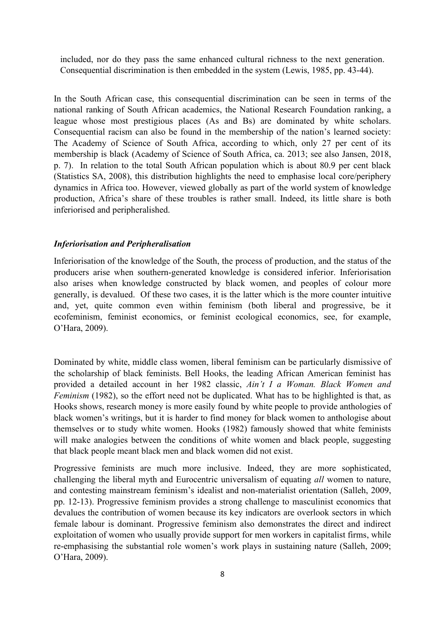included, nor do they pass the same enhanced cultural richness to the next generation. Consequential discrimination is then embedded in the system (Lewis, 1985, pp. 43-44).

In the South African case, this consequential discrimination can be seen in terms of the national ranking of South African academics, the National Research Foundation ranking, a league whose most prestigious places (As and Bs) are dominated by white scholars. Consequential racism can also be found in the membership of the nation's learned society: The Academy of Science of South Africa, according to which, only 27 per cent of its membership is black (Academy of Science of South Africa, ca. 2013; see also Jansen, 2018, p. 7). In relation to the total South African population which is about 80.9 per cent black (Statistics SA, 2008), this distribution highlights the need to emphasise local core/periphery dynamics in Africa too. However, viewed globally as part of the world system of knowledge production, Africa's share of these troubles is rather small. Indeed, its little share is both inferiorised and peripheralished.

#### *Inferiorisation and Peripheralisation*

Inferiorisation of the knowledge of the South, the process of production, and the status of the producers arise when southern-generated knowledge is considered inferior. Inferiorisation also arises when knowledge constructed by black women, and peoples of colour more generally, is devalued. Of these two cases, it is the latter which is the more counter intuitive and, yet, quite common even within feminism (both liberal and progressive, be it ecofeminism, feminist economics, or feminist ecological economics, see, for example, O'Hara, 2009).

Dominated by white, middle class women, liberal feminism can be particularly dismissive of the scholarship of black feminists. Bell Hooks, the leading African American feminist has provided a detailed account in her 1982 classic, *Ain't I a Woman. Black Women and Feminism* (1982), so the effort need not be duplicated. What has to be highlighted is that, as Hooks shows, research money is more easily found by white people to provide anthologies of black women's writings, but it is harder to find money for black women to anthologise about themselves or to study white women. Hooks (1982) famously showed that white feminists will make analogies between the conditions of white women and black people, suggesting that black people meant black men and black women did not exist.

Progressive feminists are much more inclusive. Indeed, they are more sophisticated, challenging the liberal myth and Eurocentric universalism of equating *all* women to nature, and contesting mainstream feminism's idealist and non-materialist orientation (Salleh, 2009, pp. 12-13). Progressive feminism provides a strong challenge to masculinist economics that devalues the contribution of women because its key indicators are overlook sectors in which female labour is dominant. Progressive feminism also demonstrates the direct and indirect exploitation of women who usually provide support for men workers in capitalist firms, while re-emphasising the substantial role women's work plays in sustaining nature (Salleh, 2009; O'Hara, 2009).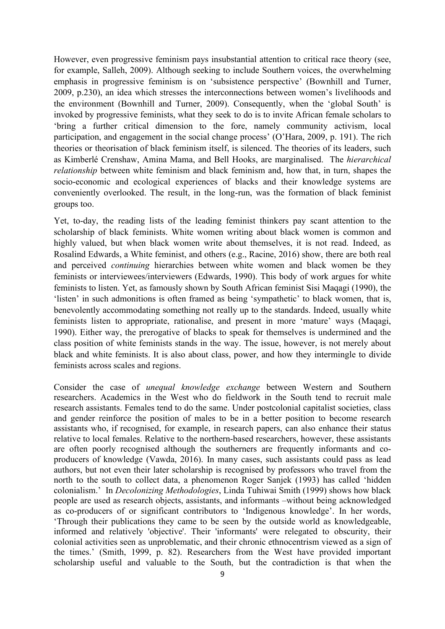However, even progressive feminism pays insubstantial attention to critical race theory (see, for example, Salleh, 2009). Although seeking to include Southern voices, the overwhelming emphasis in progressive feminism is on 'subsistence perspective' (Bownhill and Turner, 2009, p.230), an idea which stresses the interconnections between women's livelihoods and the environment (Bownhill and Turner, 2009). Consequently, when the 'global South' is invoked by progressive feminists, what they seek to do is to invite African female scholars to 'bring a further critical dimension to the fore, namely community activism, local participation, and engagement in the social change process' (O'Hara, 2009, p. 191). The rich theories or theorisation of black feminism itself, is silenced. The theories of its leaders, such as Kimberlé Crenshaw, Amina Mama, and Bell Hooks, are marginalised. The *hierarchical relationship* between white feminism and black feminism and, how that, in turn, shapes the socio-economic and ecological experiences of blacks and their knowledge systems are conveniently overlooked. The result, in the long-run, was the formation of black feminist groups too.

Yet, to-day, the reading lists of the leading feminist thinkers pay scant attention to the scholarship of black feminists. White women writing about black women is common and highly valued, but when black women write about themselves, it is not read. Indeed, as Rosalind Edwards, a White feminist, and others (e.g., Racine, 2016) show, there are both real and perceived *continuing* hierarchies between white women and black women be they feminists or interviewees/interviewers (Edwards, 1990). This body of work argues for white feminists to listen. Yet, as famously shown by South African feminist Sisi Maqagi (1990), the 'listen' in such admonitions is often framed as being 'sympathetic' to black women, that is, benevolently accommodating something not really up to the standards. Indeed, usually white feminists listen to appropriate, rationalise, and present in more 'mature' ways (Maqagi, 1990). Either way, the prerogative of blacks to speak for themselves is undermined and the class position of white feminists stands in the way. The issue, however, is not merely about black and white feminists. It is also about class, power, and how they intermingle to divide feminists across scales and regions.

Consider the case of *unequal knowledge exchange* between Western and Southern researchers. Academics in the West who do fieldwork in the South tend to recruit male research assistants. Females tend to do the same. Under postcolonial capitalist societies, class and gender reinforce the position of males to be in a better position to become research assistants who, if recognised, for example, in research papers, can also enhance their status relative to local females. Relative to the northern-based researchers, however, these assistants are often poorly recognised although the southerners are frequently informants and coproducers of knowledge (Vawda, 2016). In many cases, such assistants could pass as lead authors, but not even their later scholarship is recognised by professors who travel from the north to the south to collect data, a phenomenon Roger Sanjek (1993) has called 'hidden colonialism.' In *Decolonizing Methodologies*, Linda Tuhiwai Smith (1999) shows how black people are used as research objects, assistants, and informants –without being acknowledged as co-producers of or significant contributors to 'Indigenous knowledge'. In her words, 'Through their publications they came to be seen by the outside world as knowledgeable, informed and relatively 'objective'. Their 'informants' were relegated to obscurity, their colonial activities seen as unproblematic, and their chronic ethnocentrism viewed as a sign of the times.' (Smith, 1999, p. 82). Researchers from the West have provided important scholarship useful and valuable to the South, but the contradiction is that when the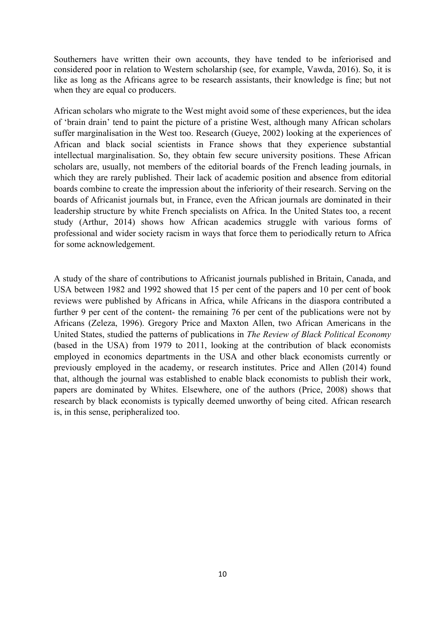Southerners have written their own accounts, they have tended to be inferiorised and considered poor in relation to Western scholarship (see, for example, Vawda, 2016). So, it is like as long as the Africans agree to be research assistants, their knowledge is fine; but not when they are equal co producers.

African scholars who migrate to the West might avoid some of these experiences, but the idea of 'brain drain' tend to paint the picture of a pristine West, although many African scholars suffer marginalisation in the West too. Research (Gueye, 2002) looking at the experiences of African and black social scientists in France shows that they experience substantial intellectual marginalisation. So, they obtain few secure university positions. These African scholars are, usually, not members of the editorial boards of the French leading journals, in which they are rarely published. Their lack of academic position and absence from editorial boards combine to create the impression about the inferiority of their research. Serving on the boards of Africanist journals but, in France, even the African journals are dominated in their leadership structure by white French specialists on Africa. In the United States too, a recent study (Arthur, 2014) shows how African academics struggle with various forms of professional and wider society racism in ways that force them to periodically return to Africa for some acknowledgement.

A study of the share of contributions to Africanist journals published in Britain, Canada, and USA between 1982 and 1992 showed that 15 per cent of the papers and 10 per cent of book reviews were published by Africans in Africa, while Africans in the diaspora contributed a further 9 per cent of the content- the remaining 76 per cent of the publications were not by Africans (Zeleza, 1996). Gregory Price and Maxton Allen, two African Americans in the United States, studied the patterns of publications in *The Review of Black Political Economy*  (based in the USA) from 1979 to 2011, looking at the contribution of black economists employed in economics departments in the USA and other black economists currently or previously employed in the academy, or research institutes. Price and Allen (2014) found that, although the journal was established to enable black economists to publish their work, papers are dominated by Whites. Elsewhere, one of the authors (Price, 2008) shows that research by black economists is typically deemed unworthy of being cited. African research is, in this sense, peripheralized too.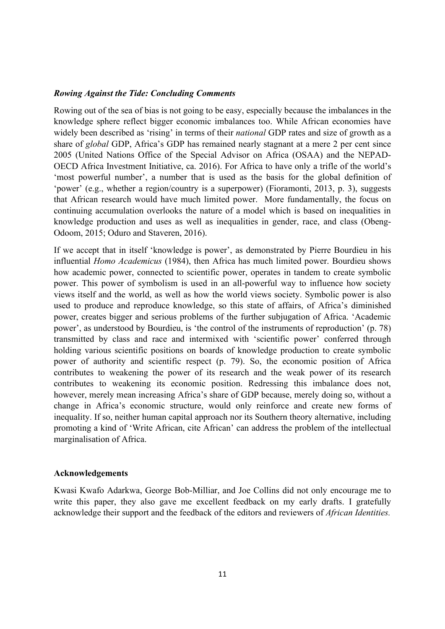#### *Rowing Against the Tide: Concluding Comments*

Rowing out of the sea of bias is not going to be easy, especially because the imbalances in the knowledge sphere reflect bigger economic imbalances too. While African economies have widely been described as 'rising' in terms of their *national* GDP rates and size of growth as a share of *global* GDP, Africa's GDP has remained nearly stagnant at a mere 2 per cent since 2005 (United Nations Office of the Special Advisor on Africa (OSAA) and the NEPAD-OECD Africa Investment Initiative, ca. 2016). For Africa to have only a trifle of the world's 'most powerful number', a number that is used as the basis for the global definition of 'power' (e.g., whether a region/country is a superpower) (Fioramonti, 2013, p. 3), suggests that African research would have much limited power. More fundamentally, the focus on continuing accumulation overlooks the nature of a model which is based on inequalities in knowledge production and uses as well as inequalities in gender, race, and class (Obeng-Odoom, 2015; Oduro and Staveren, 2016).

If we accept that in itself 'knowledge is power', as demonstrated by Pierre Bourdieu in his influential *Homo Academicus* (1984), then Africa has much limited power. Bourdieu shows how academic power, connected to scientific power, operates in tandem to create symbolic power. This power of symbolism is used in an all-powerful way to influence how society views itself and the world, as well as how the world views society. Symbolic power is also used to produce and reproduce knowledge, so this state of affairs, of Africa's diminished power, creates bigger and serious problems of the further subjugation of Africa. 'Academic power', as understood by Bourdieu, is 'the control of the instruments of reproduction' (p. 78) transmitted by class and race and intermixed with 'scientific power' conferred through holding various scientific positions on boards of knowledge production to create symbolic power of authority and scientific respect (p. 79). So, the economic position of Africa contributes to weakening the power of its research and the weak power of its research contributes to weakening its economic position. Redressing this imbalance does not, however, merely mean increasing Africa's share of GDP because, merely doing so, without a change in Africa's economic structure, would only reinforce and create new forms of inequality. If so, neither human capital approach nor its Southern theory alternative, including promoting a kind of 'Write African, cite African' can address the problem of the intellectual marginalisation of Africa.

#### **Acknowledgements**

Kwasi Kwafo Adarkwa, George Bob-Milliar, and Joe Collins did not only encourage me to write this paper, they also gave me excellent feedback on my early drafts. I gratefully acknowledge their support and the feedback of the editors and reviewers of *African Identities.*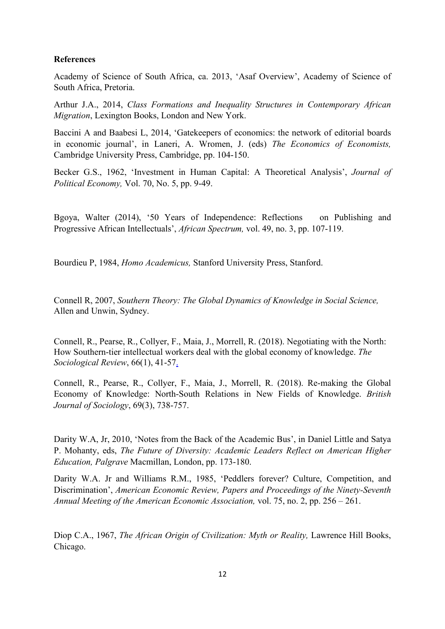## **References**

Academy of Science of South Africa, ca. 2013, 'Asaf Overview', Academy of Science of South Africa, Pretoria.

Arthur J.A., 2014, *Class Formations and Inequality Structures in Contemporary African Migration*, Lexington Books, London and New York.

Baccini A and Baabesi L, 2014, 'Gatekeepers of economics: the network of editorial boards in economic journal', in Laneri, A. Wromen, J. (eds) *The Economics of Economists,*  Cambridge University Press, Cambridge, pp. 104-150.

Becker G.S., 1962, 'Investment in Human Capital: A Theoretical Analysis', *Journal of Political Economy,* Vol. 70, No. 5, pp. 9-49.

Bgoya, Walter (2014), '50 Years of Independence: Reflections on Publishing and Progressive African Intellectuals', *African Spectrum,* vol. 49, no. 3, pp. 107-119.

Bourdieu P, 1984, *Homo Academicus,* Stanford University Press, Stanford.

Connell R, 2007, *Southern Theory: The Global Dynamics of Knowledge in Social Science,*  Allen and Unwin, Sydney.

Connell, R., Pearse, R., Collyer, F., Maia, J., Morrell, R. (2018). Negotiating with the North: How Southern-tier intellectual workers deal with the global economy of knowledge. *The Sociological Review*, 66(1), 41-57.

Connell, R., Pearse, R., Collyer, F., Maia, J., Morrell, R. (2018). Re-making the Global Economy of Knowledge: North-South Relations in New Fields of Knowledge. *British Journal of Sociology*, 69(3), 738-757.

Darity W.A, Jr, 2010, 'Notes from the Back of the Academic Bus', in Daniel Little and Satya P. Mohanty, eds, *The Future of Diversity: Academic Leaders Reflect on American Higher Education, Palgrave* Macmillan, London, pp. 173-180.

Darity W.A. Jr and Williams R.M., 1985, 'Peddlers forever? Culture, Competition, and Discrimination', *American Economic Review, Papers and Proceedings of the Ninety-Seventh Annual Meeting of the American Economic Association,* vol. 75, no. 2, pp. 256 – 261.

Diop C.A., 1967, *The African Origin of Civilization: Myth or Reality,* Lawrence Hill Books, Chicago.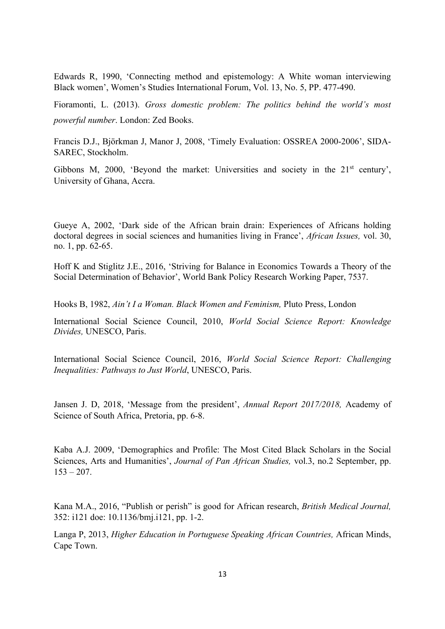Edwards R, 1990, 'Connecting method and epistemology: A White woman interviewing Black women', Women's Studies International Forum, Vol. 13, No. 5, PP. 477-490.

Fioramonti, L. (2013). *Gross domestic problem: The politics behind the world's most powerful number*. London: Zed Books.

Francis D.J., Björkman J, Manor J, 2008, 'Timely Evaluation: OSSREA 2000-2006', SIDA-SAREC, Stockholm.

Gibbons M, 2000, 'Beyond the market: Universities and society in the  $21<sup>st</sup>$  century', University of Ghana, Accra.

Gueye A, 2002, 'Dark side of the African brain drain: Experiences of Africans holding doctoral degrees in social sciences and humanities living in France', *African Issues,* vol. 30, no. 1, pp. 62-65.

Hoff K and Stiglitz J.E., 2016, 'Striving for Balance in Economics Towards a Theory of the Social Determination of Behavior', World Bank Policy Research Working Paper, 7537.

Hooks B, 1982, *Ain't I a Woman. Black Women and Feminism,* Pluto Press, London

International Social Science Council, 2010, *World Social Science Report: Knowledge Divides,* UNESCO, Paris.

International Social Science Council, 2016, *World Social Science Report: Challenging Inequalities: Pathways to Just World*, UNESCO, Paris.

Jansen J. D, 2018, 'Message from the president', *Annual Report 2017/2018,* Academy of Science of South Africa, Pretoria, pp. 6-8.

Kaba A.J. 2009, 'Demographics and Profile: The Most Cited Black Scholars in the Social Sciences, Arts and Humanities', *Journal of Pan African Studies,* vol.3, no.2 September, pp.  $153 - 207$ .

Kana M.A., 2016, "Publish or perish" is good for African research, *British Medical Journal,*  352: i121 doe: 10.1136/bmj.i121, pp. 1-2.

Langa P, 2013, *Higher Education in Portuguese Speaking African Countries,* African Minds, Cape Town.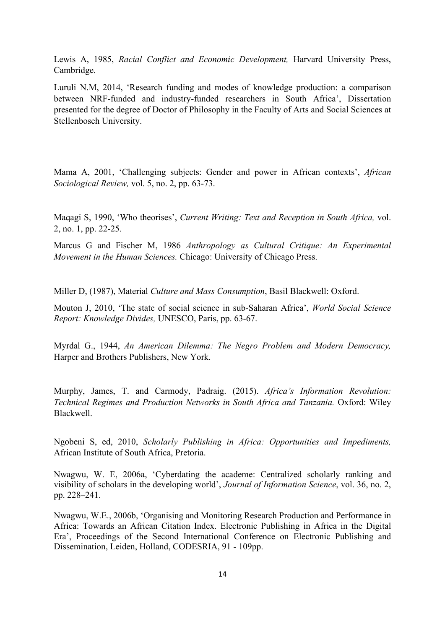Lewis A, 1985, *Racial Conflict and Economic Development,* Harvard University Press, Cambridge.

Luruli N.M, 2014, 'Research funding and modes of knowledge production: a comparison between NRF-funded and industry-funded researchers in South Africa', Dissertation presented for the degree of Doctor of Philosophy in the Faculty of Arts and Social Sciences at Stellenbosch University.

Mama A, 2001, 'Challenging subjects: Gender and power in African contexts', *African Sociological Review,* vol. 5, no. 2, pp. 63-73.

Maqagi S, 1990, 'Who theorises', *Current Writing: Text and Reception in South Africa,* vol. 2, no. 1, pp. 22-25.

Marcus G and Fischer M, 1986 *Anthropology as Cultural Critique: An Experimental Movement in the Human Sciences.* Chicago: University of Chicago Press.

Miller D, (1987), Material *Culture and Mass Consumption*, Basil Blackwell: Oxford.

Mouton J, 2010, 'The state of social science in sub-Saharan Africa', *World Social Science Report: Knowledge Divides,* UNESCO, Paris, pp. 63-67.

Myrdal G., 1944, *An American Dilemma: The Negro Problem and Modern Democracy,*  Harper and Brothers Publishers, New York.

Murphy, James, T. and Carmody, Padraig. (2015). *Africa's Information Revolution: Technical Regimes and Production Networks in South Africa and Tanzania.* Oxford: Wiley Blackwell.

Ngobeni S, ed, 2010, *Scholarly Publishing in Africa: Opportunities and Impediments,*  African Institute of South Africa, Pretoria.

Nwagwu, W. E, 2006a, 'Cyberdating the academe: Centralized scholarly ranking and visibility of scholars in the developing world', *Journal of Information Science*, vol. 36, no. 2, pp. 228–241.

Nwagwu, W.E., 2006b, 'Organising and Monitoring Research Production and Performance in Africa: Towards an African Citation Index. Electronic Publishing in Africa in the Digital Era', Proceedings of the Second International Conference on Electronic Publishing and Dissemination, Leiden, Holland, CODESRIA, 91 - 109pp.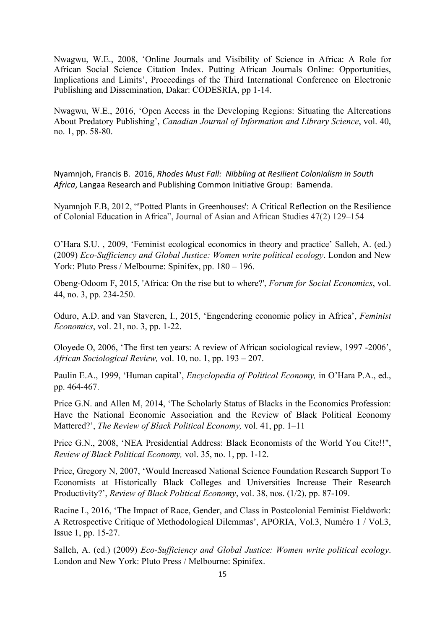Nwagwu, W.E., 2008, 'Online Journals and Visibility of Science in Africa: A Role for African Social Science Citation Index. Putting African Journals Online: Opportunities, Implications and Limits', Proceedings of the Third International Conference on Electronic Publishing and Dissemination, Dakar: CODESRIA, pp 1-14.

Nwagwu, W.E., 2016, 'Open Access in the Developing Regions: Situating the Altercations About Predatory Publishing', *Canadian Journal of Information and Library Science*, vol. 40, no. 1, pp. 58-80.

Nyamnjoh, Francis B. 2016, *Rhodes Must Fall: Nibbling at Resilient Colonialism in South Africa*, Langaa Research and Publishing Common Initiative Group: Bamenda.

Nyamnjoh F.B, 2012, "'Potted Plants in Greenhouses': A Critical Reflection on the Resilience of Colonial Education in Africa", Journal of Asian and African Studies 47(2) 129–154

O'Hara S.U. , 2009, 'Feminist ecological economics in theory and practice' Salleh, A. (ed.) (2009) *Eco-Sufficiency and Global Justice: Women write political ecology*. London and New York: Pluto Press / Melbourne: Spinifex, pp. 180 – 196.

Obeng-Odoom F, 2015, ['Africa: On the rise but to where?',](http://www.tandfonline.com/doi/full/10.1080/07360932.2014.955040) *Forum for Social Economics*, vol. 44, no. 3, pp. 234-250.

Oduro, A.D. and van Staveren, I., 2015, 'Engendering economic policy in Africa', *Feminist Economics*, vol. 21, no. 3, pp. 1-22.

Oloyede O, 2006, 'The first ten years: A review of African sociological review, 1997 -2006', *African Sociological Review,* vol. 10, no. 1, pp. 193 – 207.

Paulin E.A., 1999, 'Human capital', *Encyclopedia of Political Economy,* in O'Hara P.A., ed., pp. 464-467.

Price G.N. and Allen M, 2014, 'The Scholarly Status of Blacks in the Economics Profession: Have the National Economic Association and the Review of Black Political Economy Mattered?', *The Review of Black Political Economy,* vol. 41, pp. 1–11

Price G.N., 2008, 'NEA Presidential Address: Black Economists of the World You Cite!!", *Review of Black Political Economy,* vol. 35, no. 1, pp. 1-12.

Price, Gregory N, 2007, 'Would Increased National Science Foundation Research Support To Economists at Historically Black Colleges and Universities Increase Their Research Productivity?', *Review of Black Political Economy*, vol. 38, nos. (1/2), pp. 87-109.

Racine L, 2016, 'The Impact of Race, Gender, and Class in Postcolonial Feminist Fieldwork: A Retrospective Critique of Methodological Dilemmas', APORIA, Vol.3, Numéro 1 / Vol.3, Issue 1, pp. 15-27.

Salleh, A. (ed.) (2009) *Eco-Sufficiency and Global Justice: Women write political ecology*. London and New York: Pluto Press / Melbourne: Spinifex.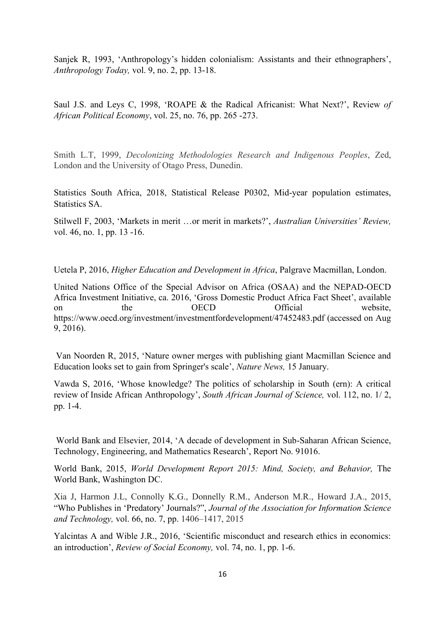Sanjek R, 1993, 'Anthropology's hidden colonialism: Assistants and their ethnographers', *Anthropology Today,* vol. 9, no. 2, pp. 13-18.

Saul J.S. and Leys C, 1998, 'ROAPE & the Radical Africanist: What Next?', Review *of African Political Economy*, vol. 25, no. 76, pp. 265 -273.

Smith L.T, 1999, *Decolonizing Methodologies Research and Indigenous Peoples*, Zed, London and the University of Otago Press, Dunedin.

Statistics South Africa, 2018, Statistical Release P0302, Mid-year population estimates, Statistics SA

Stilwell F, 2003, 'Markets in merit …or merit in markets?', *Australian Universities' Review,*  vol. 46, no. 1, pp. 13 -16.

Uetela P, 2016, *Higher Education and Development in Africa*, Palgrave Macmillan, London.

United Nations Office of the Special Advisor on Africa (OSAA) and the NEPAD-OECD Africa Investment Initiative, ca. 2016, 'Gross Domestic Product Africa Fact Sheet', available on the OECD Official website, <https://www.oecd.org/investment/investmentfordevelopment/47452483.pdf> (accessed on Aug 9, 2016).

Van Noorden R, 2015, 'Nature owner merges with publishing giant Macmillan Science and Education looks set to gain from Springer's scale', *Nature News,* 15 January.

Vawda S, 2016, 'Whose knowledge? The politics of scholarship in South (ern): A critical review of Inside African Anthropology', *South African Journal of Science,* vol. 112, no. 1/ 2, pp. 1-4.

World Bank and Elsevier, 2014, 'A decade of development in Sub-Saharan African Science, Technology, Engineering, and Mathematics Research', Report No. 91016.

World Bank, 2015, *World Development Report 2015: Mind, Society, and Behavior,* The World Bank, Washington DC.

Xia J, Harmon J.L, Connolly K.G., Donnelly R.M., Anderson M.R., Howard J.A., 2015, "Who Publishes in 'Predatory' Journals?", *Journal of the Association for Information Science and Technology,* vol. 66, no. 7, pp. 1406–1417, 2015

Yalcintas A and Wible J.R., 2016, 'Scientific misconduct and research ethics in economics: an introduction', *Review of Social Economy,* vol. 74, no. 1, pp. 1-6.